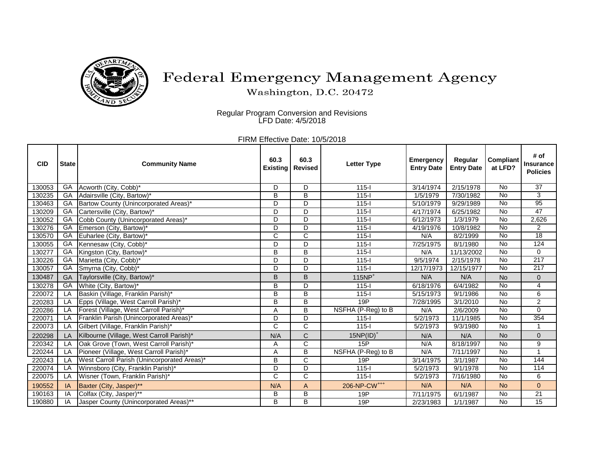

## Federal Emergency Management Agency

Washington, D.C. 20472

Regular Program Conversion and Revisions LFD Date: 4/5/2018

FIRM Effective Date: 10/5/2018

| <b>CID</b> | <b>State</b> | <b>Community Name</b>                       | 60.3<br><b>Existing</b> | 60.3<br><b>Revised</b>  | <b>Letter Type</b>       | <b>Emergency</b><br><b>Entry Date</b> | Regular<br><b>Entry Date</b> | <b>Compliant</b><br>at LFD? | # of<br><b>Insurance</b><br><b>Policies</b> |
|------------|--------------|---------------------------------------------|-------------------------|-------------------------|--------------------------|---------------------------------------|------------------------------|-----------------------------|---------------------------------------------|
| 130053     | GA           | Acworth (City, Cobb)*                       | D                       | D                       | $115 -$                  | 3/14/1974                             | 2/15/1978                    | No                          | $\overline{37}$                             |
| 130235     | GA           | Adairsville (City, Bartow)*                 | $\overline{\mathsf{B}}$ | $\overline{\mathsf{B}}$ | $115 -$                  | 1/5/1979                              | 7/30/1982                    | $\overline{N}$              | 3                                           |
| 130463     | GA           | Bartow County (Unincorporated Areas)*       | D                       | D                       | $115 -$                  | 5/10/1979                             | 9/29/1989                    | $\overline{N}$              | 95                                          |
| 130209     | $G$ A        | Cartersville (City, Bartow)*                | D                       | D                       | $115 -$                  | 4/17/1974                             | 6/25/1982                    | $\overline{N}$              | 47                                          |
| 130052     | GA           | Cobb County (Unincorporated Areas)*         | D                       | D                       | $115 -$                  | 6/12/1973                             | 1/3/1979                     | <b>No</b>                   | 2,626                                       |
| 130276     | $G$ A        | Emerson (City, Bartow)*                     | D                       | D                       | $115 -$                  | 4/19/1976                             | 10/8/1982                    | $\overline{N}$              | $\overline{2}$                              |
| 130570     | GA           | Euharlee (City, Bartow)*                    | C                       | $\mathsf{C}$            | $115 -$                  | N/A                                   | 8/2/1999                     | No                          | 18                                          |
| 130055     | GA           | Kennesaw (City, Cobb)*                      | D                       | D                       | $115 -$                  | 7/25/1975                             | 8/1/1980                     | $\overline{N}$              | 124                                         |
| 130277     | GA           | Kingston (City, Bartow)*                    | B                       | B                       | $115 -$                  | N/A                                   | 11/13/2002                   | $\overline{N}$              | $\mathbf 0$                                 |
| 130226     | GA           | Marietta (City, Cobb)*                      | D                       | D                       | $115 -$                  | 9/5/1974                              | 2/15/1978                    | $\overline{N}$              | 217                                         |
| 130057     | GA           | Smyrna (City, Cobb)*                        | D                       | D                       | $115 -$                  | 12/17/1973                            | 12/15/1977                   | <b>No</b>                   | 217                                         |
| 130487     | GA           | Taylorsville (City, Bartow)*                | Β                       | B                       | $115NP+$                 | N/A                                   | N/A                          | <b>No</b>                   | $\pmb{0}$                                   |
| 130278     | GA           | White (City, Bartow)*                       | B                       | D                       | $115 -$                  | 6/18/1976                             | 6/4/1982                     | <b>No</b>                   | $\overline{4}$                              |
| 220072     | LA           | Baskin (Village, Franklin Parish)*          | B                       | B                       | $115 -$                  | 5/15/1973                             | 9/1/1986                     | $\overline{N}$              | 6                                           |
| 220283     | LA           | Epps (Village, West Carroll Parish)*        | $\overline{\mathsf{B}}$ | B                       | 19P                      | 7/28/1995                             | 3/1/2010                     | <b>No</b>                   | $\overline{2}$                              |
| 220286     | LA           | Forest (Village, West Carroll Parish)*      | A                       | B                       | NSFHA (P-Reg) to B       | N/A                                   | 2/6/2009                     | <b>No</b>                   | $\mathbf 0$                                 |
| 220071     | LA           | Franklin Parish (Unincorporated Areas)*     | D                       | D                       | $115 -$                  | 5/2/1973                              | 11/1/1985                    | <b>No</b>                   | 354                                         |
| 220073     | LA           | Gilbert (Village, Franklin Parish)*         | C                       | $\mathsf{C}$            | $115 -$                  | 5/2/1973                              | 9/3/1980                     | <b>No</b>                   | $\mathbf{1}$                                |
| 220298     | LA           | Kilbourne (Village, West Carroll Parish)*   | N/A                     | $\mathsf{C}$            | $15NP(ID)^+$             | N/A                                   | N/A                          | <b>No</b>                   | $\mathbf 0$                                 |
| 220342     | LA           | Oak Grove (Town, West Carroll Parish)*      | Α                       | $\overline{C}$          | 15P                      | N/A                                   | 8/18/1997                    | $\overline{N}$              | 9                                           |
| 220244     | LA           | Pioneer (Village, West Carroll Parish)*     | Α                       | $\overline{\mathsf{B}}$ | NSFHA (P-Reg) to B       | N/A                                   | 7/11/1997                    | <b>No</b>                   | 1                                           |
| 220243     | LA           | West Carroll Parish (Unincorporated Areas)* | B                       | $\overline{C}$          | 19P                      | 3/14/1975                             | 3/1/1987                     | $\overline{N}$              | 144                                         |
| 220074     | LA           | Winnsboro (City, Franklin Parish)*          | $\overline{D}$          | $\overline{D}$          | $115 -$                  | 5/2/1973                              | 9/1/1978                     | No                          | 114                                         |
| 220075     | <b>LA</b>    | Wisner (Town, Franklin Parish)*             | $\mathsf{C}$            | $\mathsf{C}$            | $115 -$                  | 5/2/1973                              | 7/16/1980                    | <b>No</b>                   | 6                                           |
| 190552     | IA           | Baxter (City, Jasper)**                     | N/A                     | A                       | 206-NP-CW <sup>+++</sup> | N/A                                   | N/A                          | <b>No</b>                   | $\overline{0}$                              |
| 190163     | ΙA           | Colfax (City, Jasper)**                     | В                       | B                       | 19P                      | 7/11/1975                             | 6/1/1987                     | No                          | 21                                          |
| 190880     | IA           | Jasper County (Unincorporated Areas)**      | B                       | В                       | 19P                      | 2/23/1983                             | 1/1/1987                     | <b>No</b>                   | $\overline{15}$                             |